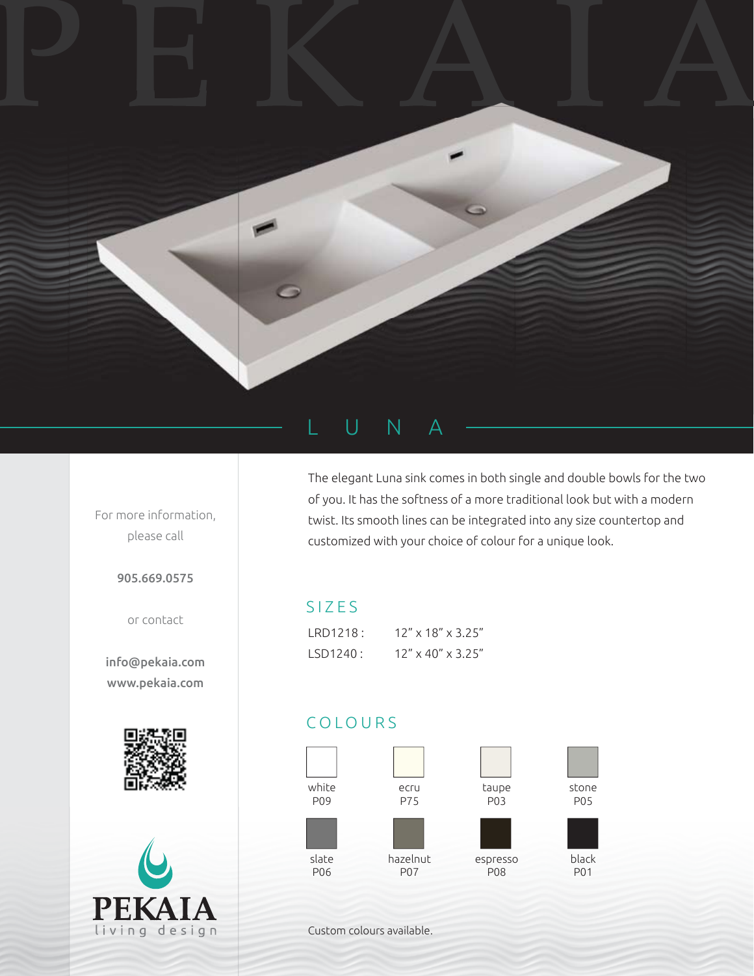

## U N A

For more information, please call

905.669.0575

or contact

info@pekaia.com www.pekaia.com





The elegant Luna sink comes in both single and double bowls for the two of you. It has the softness of a more traditional look but with a modern twist. Its smooth lines can be integrated into any size countertop and customized with your choice of colour for a unique look.

## SIZES

| IRD1218: | $12'' \times 18'' \times 3.25''$ |
|----------|----------------------------------|
| LSD1240: | $12'' \times 40'' \times 3.25''$ |

## COLOURS



Custom colours available.